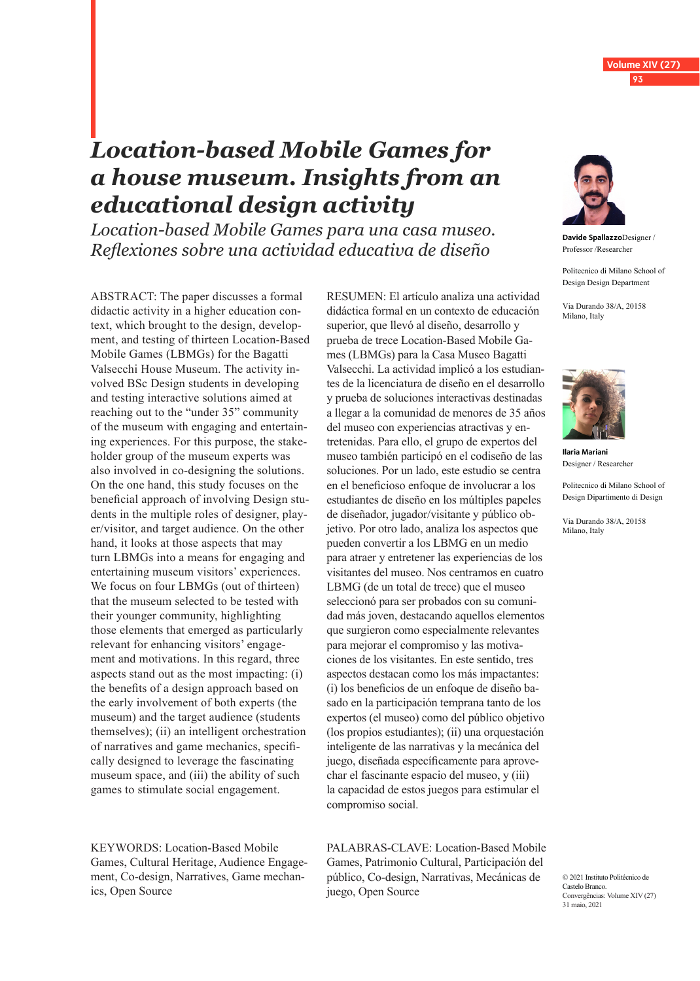# *Location-based Mobile Games for a house museum. Insights from an educational design activity*

*Location-based Mobile Games para una casa museo. Reflexiones sobre una actividad educativa de diseño*

ABSTRACT: The paper discusses a formal didactic activity in a higher education context, which brought to the design, development, and testing of thirteen Location-Based Mobile Games (LBMGs) for the Bagatti Valsecchi House Museum. The activity involved BSc Design students in developing and testing interactive solutions aimed at reaching out to the "under 35" community of the museum with engaging and entertaining experiences. For this purpose, the stakeholder group of the museum experts was also involved in co-designing the solutions. On the one hand, this study focuses on the beneficial approach of involving Design students in the multiple roles of designer, player/visitor, and target audience. On the other hand, it looks at those aspects that may turn LBMGs into a means for engaging and entertaining museum visitors' experiences. We focus on four LBMGs (out of thirteen) that the museum selected to be tested with their younger community, highlighting those elements that emerged as particularly relevant for enhancing visitors' engagement and motivations. In this regard, three aspects stand out as the most impacting: (i) the benefits of a design approach based on the early involvement of both experts (the museum) and the target audience (students themselves); (ii) an intelligent orchestration of narratives and game mechanics, specifically designed to leverage the fascinating museum space, and (iii) the ability of such games to stimulate social engagement.

KEYWORDS: Location-Based Mobile Games, Cultural Heritage, Audience Engagement, Co-design, Narratives, Game mechanics, Open Source

RESUMEN: El artículo analiza una actividad didáctica formal en un contexto de educación superior, que llevó al diseño, desarrollo y prueba de trece Location-Based Mobile Games (LBMGs) para la Casa Museo Bagatti Valsecchi. La actividad implicó a los estudiantes de la licenciatura de diseño en el desarrollo y prueba de soluciones interactivas destinadas a llegar a la comunidad de menores de 35 años del museo con experiencias atractivas y entretenidas. Para ello, el grupo de expertos del museo también participó en el codiseño de las soluciones. Por un lado, este estudio se centra en el beneficioso enfoque de involucrar a los estudiantes de diseño en los múltiples papeles de diseñador, jugador/visitante y público objetivo. Por otro lado, analiza los aspectos que pueden convertir a los LBMG en un medio para atraer y entretener las experiencias de los visitantes del museo. Nos centramos en cuatro LBMG (de un total de trece) que el museo seleccionó para ser probados con su comunidad más joven, destacando aquellos elementos que surgieron como especialmente relevantes para mejorar el compromiso y las motivaciones de los visitantes. En este sentido, tres aspectos destacan como los más impactantes: (i) los beneficios de un enfoque de diseño basado en la participación temprana tanto de los expertos (el museo) como del público objetivo (los propios estudiantes); (ii) una orquestación inteligente de las narrativas y la mecánica del juego, diseñada específicamente para aprovechar el fascinante espacio del museo, y (iii) la capacidad de estos juegos para estimular el compromiso social.

PALABRAS-CLAVE: Location-Based Mobile Games, Patrimonio Cultural, Participación del público, Co-design, Narrativas, Mecánicas de juego, Open Source



**Davide Spallazzo**Designer / Professor /Researcher

**Volume XIV (27) 93**

Politecnico di Milano School of Design Design Department

Via Durando 38/A, 20158 Milano, Italy

ORCID: 0000-0002-2621-7617 davide.spallazzo@polimi.it



**Ilaria Mariani** Designer / Researcher

Politecnico di Milano School of Design Dipartimento di Design

Via Durando 38/A, 20158 Milano, Italy

ORCID: 0000-0002-2692-4178

© 2021 Instituto Politécnico de Castelo Branco. Convergências: Volume XIV (27) 31 maio, 2021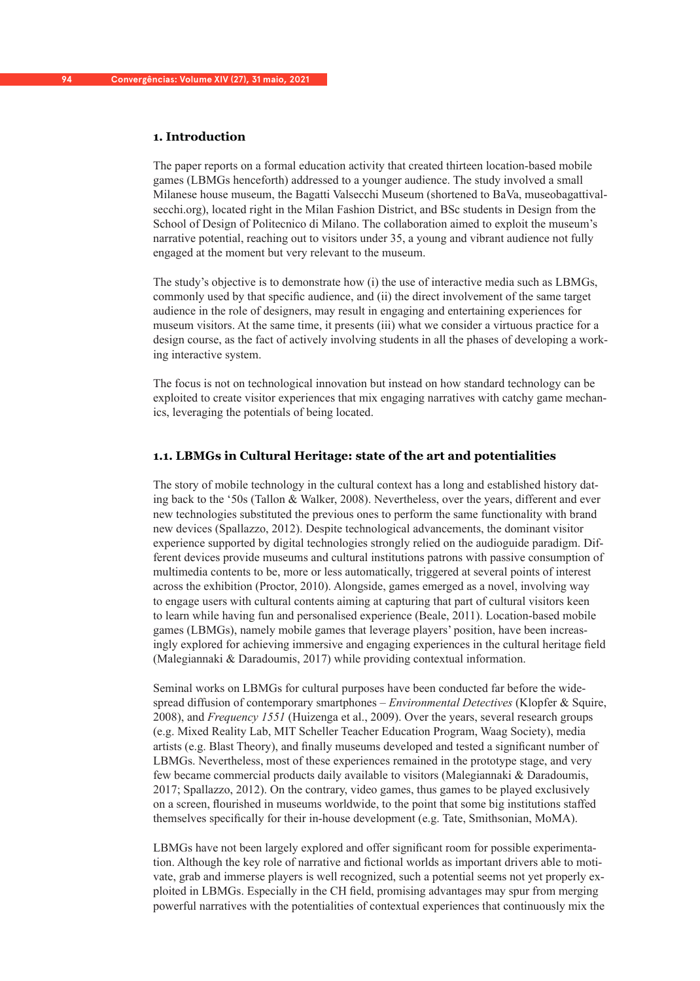# **1. Introduction**

The paper reports on a formal education activity that created thirteen location-based mobile games (LBMGs henceforth) addressed to a younger audience. The study involved a small Milanese house museum, the Bagatti Valsecchi Museum (shortened to BaVa, museobagattivalsecchi.org), located right in the Milan Fashion District, and BSc students in Design from the School of Design of Politecnico di Milano. The collaboration aimed to exploit the museum's narrative potential, reaching out to visitors under 35, a young and vibrant audience not fully engaged at the moment but very relevant to the museum.

The study's objective is to demonstrate how (i) the use of interactive media such as LBMGs, commonly used by that specific audience, and (ii) the direct involvement of the same target audience in the role of designers, may result in engaging and entertaining experiences for museum visitors. At the same time, it presents (iii) what we consider a virtuous practice for a design course, as the fact of actively involving students in all the phases of developing a working interactive system.

The focus is not on technological innovation but instead on how standard technology can be exploited to create visitor experiences that mix engaging narratives with catchy game mechanics, leveraging the potentials of being located.

## **1.1. LBMGs in Cultural Heritage: state of the art and potentialities**

The story of mobile technology in the cultural context has a long and established history dating back to the '50s (Tallon & Walker, 2008). Nevertheless, over the years, different and ever new technologies substituted the previous ones to perform the same functionality with brand new devices (Spallazzo, 2012). Despite technological advancements, the dominant visitor experience supported by digital technologies strongly relied on the audioguide paradigm. Different devices provide museums and cultural institutions patrons with passive consumption of multimedia contents to be, more or less automatically, triggered at several points of interest across the exhibition (Proctor, 2010). Alongside, games emerged as a novel, involving way to engage users with cultural contents aiming at capturing that part of cultural visitors keen to learn while having fun and personalised experience (Beale, 2011). Location-based mobile games (LBMGs), namely mobile games that leverage players' position, have been increasingly explored for achieving immersive and engaging experiences in the cultural heritage field (Malegiannaki & Daradoumis, 2017) while providing contextual information.

Seminal works on LBMGs for cultural purposes have been conducted far before the widespread diffusion of contemporary smartphones – *Environmental Detectives* (Klopfer & Squire, 2008), and *Frequency 1551* (Huizenga et al., 2009). Over the years, several research groups (e.g. Mixed Reality Lab, MIT Scheller Teacher Education Program, Waag Society), media artists (e.g. Blast Theory), and finally museums developed and tested a significant number of LBMGs. Nevertheless, most of these experiences remained in the prototype stage, and very few became commercial products daily available to visitors (Malegiannaki & Daradoumis, 2017; Spallazzo, 2012). On the contrary, video games, thus games to be played exclusively on a screen, flourished in museums worldwide, to the point that some big institutions staffed themselves specifically for their in-house development (e.g. Tate, Smithsonian, MoMA).

LBMGs have not been largely explored and offer significant room for possible experimentation. Although the key role of narrative and fictional worlds as important drivers able to motivate, grab and immerse players is well recognized, such a potential seems not yet properly exploited in LBMGs. Especially in the CH field, promising advantages may spur from merging powerful narratives with the potentialities of contextual experiences that continuously mix the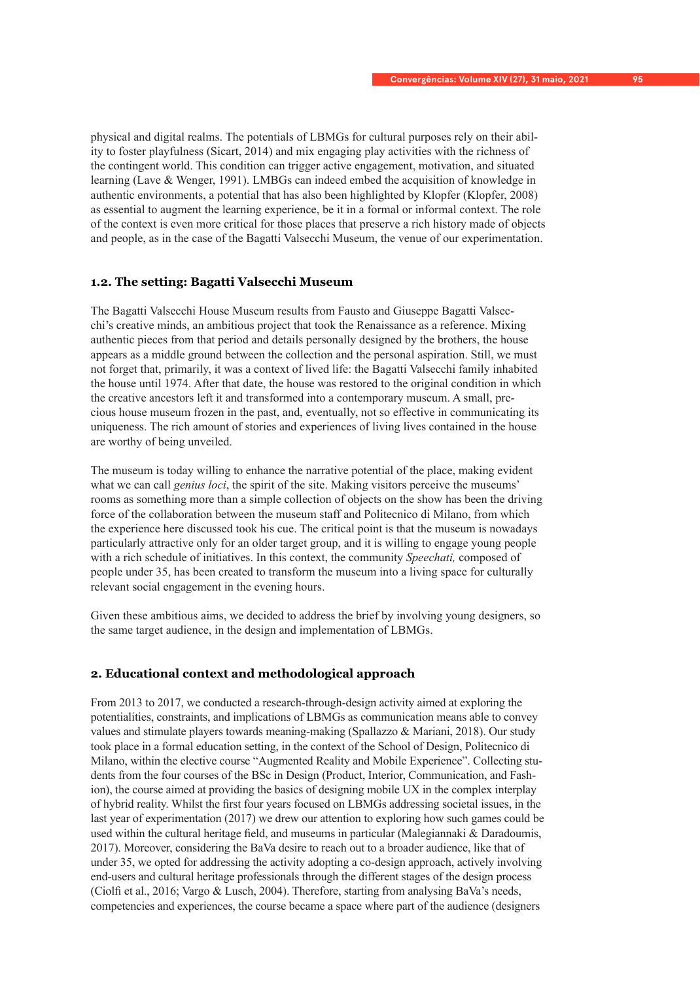physical and digital realms. The potentials of LBMGs for cultural purposes rely on their ability to foster playfulness (Sicart, 2014) and mix engaging play activities with the richness of the contingent world. This condition can trigger active engagement, motivation, and situated learning (Lave & Wenger, 1991). LMBGs can indeed embed the acquisition of knowledge in authentic environments, a potential that has also been highlighted by Klopfer (Klopfer, 2008) as essential to augment the learning experience, be it in a formal or informal context. The role of the context is even more critical for those places that preserve a rich history made of objects and people, as in the case of the Bagatti Valsecchi Museum, the venue of our experimentation.

## **1.2. The setting: Bagatti Valsecchi Museum**

The Bagatti Valsecchi House Museum results from Fausto and Giuseppe Bagatti Valsecchi's creative minds, an ambitious project that took the Renaissance as a reference. Mixing authentic pieces from that period and details personally designed by the brothers, the house appears as a middle ground between the collection and the personal aspiration. Still, we must not forget that, primarily, it was a context of lived life: the Bagatti Valsecchi family inhabited the house until 1974. After that date, the house was restored to the original condition in which the creative ancestors left it and transformed into a contemporary museum. A small, precious house museum frozen in the past, and, eventually, not so effective in communicating its uniqueness. The rich amount of stories and experiences of living lives contained in the house are worthy of being unveiled.

The museum is today willing to enhance the narrative potential of the place, making evident what we can call *genius loci*, the spirit of the site. Making visitors perceive the museums' rooms as something more than a simple collection of objects on the show has been the driving force of the collaboration between the museum staff and Politecnico di Milano, from which the experience here discussed took his cue. The critical point is that the museum is nowadays particularly attractive only for an older target group, and it is willing to engage young people with a rich schedule of initiatives. In this context, the community *Speechati,* composed of people under 35, has been created to transform the museum into a living space for culturally relevant social engagement in the evening hours.

Given these ambitious aims, we decided to address the brief by involving young designers, so the same target audience, in the design and implementation of LBMGs.

## **2. Educational context and methodological approach**

From 2013 to 2017, we conducted a research-through-design activity aimed at exploring the potentialities, constraints, and implications of LBMGs as communication means able to convey values and stimulate players towards meaning-making (Spallazzo & Mariani, 2018). Our study took place in a formal education setting, in the context of the School of Design, Politecnico di Milano, within the elective course "Augmented Reality and Mobile Experience". Collecting students from the four courses of the BSc in Design (Product, Interior, Communication, and Fashion), the course aimed at providing the basics of designing mobile UX in the complex interplay of hybrid reality. Whilst the first four years focused on LBMGs addressing societal issues, in the last year of experimentation (2017) we drew our attention to exploring how such games could be used within the cultural heritage field, and museums in particular (Malegiannaki & Daradoumis, 2017). Moreover, considering the BaVa desire to reach out to a broader audience, like that of under 35, we opted for addressing the activity adopting a co-design approach, actively involving end-users and cultural heritage professionals through the different stages of the design process (Ciolfi et al., 2016; Vargo & Lusch, 2004). Therefore, starting from analysing BaVa's needs, competencies and experiences, the course became a space where part of the audience (designers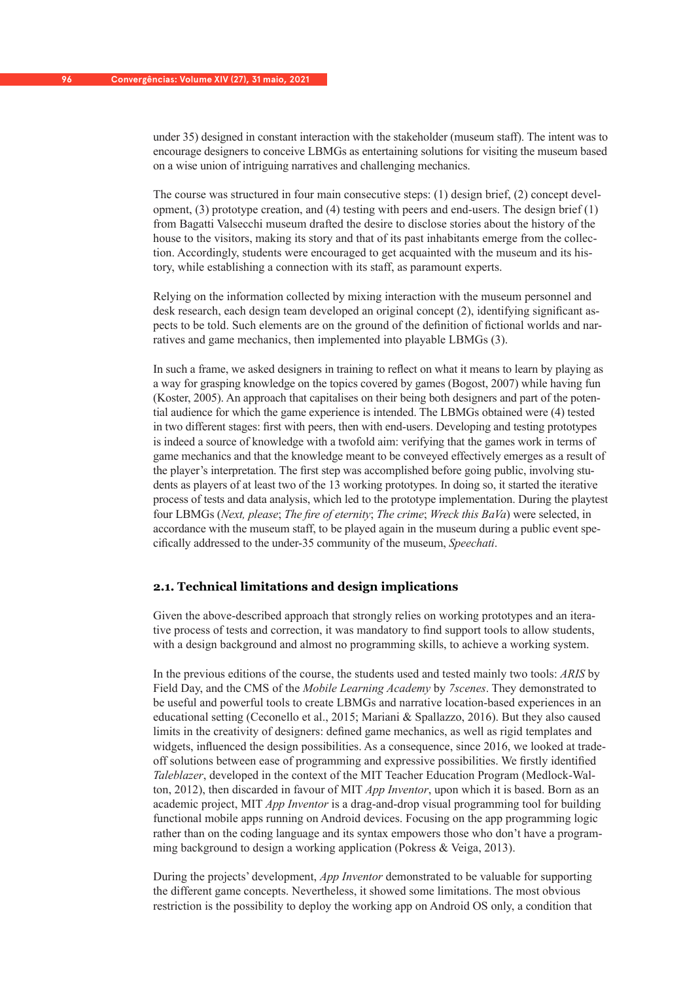under 35) designed in constant interaction with the stakeholder (museum staff). The intent was to encourage designers to conceive LBMGs as entertaining solutions for visiting the museum based on a wise union of intriguing narratives and challenging mechanics.

The course was structured in four main consecutive steps: (1) design brief, (2) concept development,  $(3)$  prototype creation, and  $(4)$  testing with peers and end-users. The design brief  $(1)$ from Bagatti Valsecchi museum drafted the desire to disclose stories about the history of the house to the visitors, making its story and that of its past inhabitants emerge from the collection. Accordingly, students were encouraged to get acquainted with the museum and its history, while establishing a connection with its staff, as paramount experts.

Relying on the information collected by mixing interaction with the museum personnel and desk research, each design team developed an original concept (2), identifying significant aspects to be told. Such elements are on the ground of the definition of fictional worlds and narratives and game mechanics, then implemented into playable LBMGs (3).

In such a frame, we asked designers in training to reflect on what it means to learn by playing as a way for grasping knowledge on the topics covered by games (Bogost, 2007) while having fun (Koster, 2005). An approach that capitalises on their being both designers and part of the potential audience for which the game experience is intended. The LBMGs obtained were (4) tested in two different stages: first with peers, then with end-users. Developing and testing prototypes is indeed a source of knowledge with a twofold aim: verifying that the games work in terms of game mechanics and that the knowledge meant to be conveyed effectively emerges as a result of the player's interpretation. The first step was accomplished before going public, involving students as players of at least two of the 13 working prototypes. In doing so, it started the iterative process of tests and data analysis, which led to the prototype implementation. During the playtest four LBMGs (*Next, please*; *The fire of eternity*; *The crime*; *Wreck this BaVa*) were selected, in accordance with the museum staff, to be played again in the museum during a public event specifically addressed to the under-35 community of the museum, *Speechati*.

#### **2.1. Technical limitations and design implications**

Given the above-described approach that strongly relies on working prototypes and an iterative process of tests and correction, it was mandatory to find support tools to allow students, with a design background and almost no programming skills, to achieve a working system.

In the previous editions of the course, the students used and tested mainly two tools: *ARIS* by Field Day, and the CMS of the *Mobile Learning Academy* by *7scenes*. They demonstrated to be useful and powerful tools to create LBMGs and narrative location-based experiences in an educational setting (Ceconello et al., 2015; Mariani & Spallazzo, 2016). But they also caused limits in the creativity of designers: defined game mechanics, as well as rigid templates and widgets, influenced the design possibilities. As a consequence, since 2016, we looked at tradeoff solutions between ease of programming and expressive possibilities. We firstly identified *Taleblazer*, developed in the context of the MIT Teacher Education Program (Medlock-Walton, 2012), then discarded in favour of MIT *App Inventor*, upon which it is based. Born as an academic project, MIT *App Inventor* is a drag-and-drop visual programming tool for building functional mobile apps running on Android devices. Focusing on the app programming logic rather than on the coding language and its syntax empowers those who don't have a programming background to design a working application (Pokress & Veiga, 2013).

During the projects' development, *App Inventor* demonstrated to be valuable for supporting the different game concepts. Nevertheless, it showed some limitations. The most obvious restriction is the possibility to deploy the working app on Android OS only, a condition that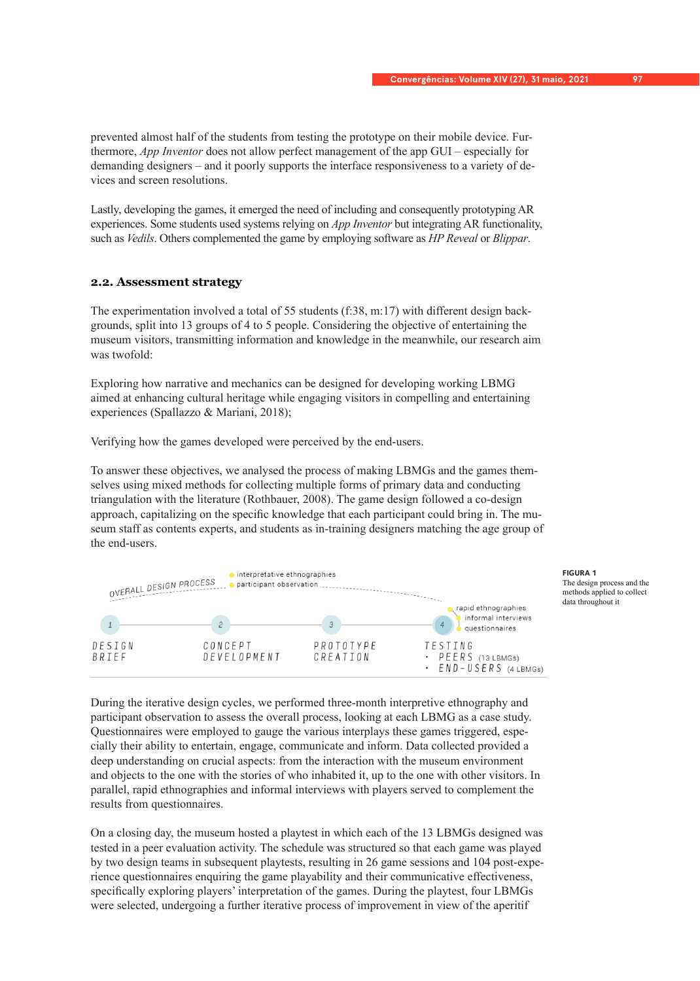prevented almost half of the students from testing the prototype on their mobile device. Furthermore, *App Inventor* does not allow perfect management of the app GUI – especially for demanding designers – and it poorly supports the interface responsiveness to a variety of devices and screen resolutions.

Lastly, developing the games, it emerged the need of including and consequently prototyping AR experiences. Some students used systems relying on *App Inventor* but integrating AR functionality, such as *Vedils*. Others complemented the game by employing software as *HP Reveal* or *Blippar*.

# **2.2. Assessment strategy**

The experimentation involved a total of 55 students (f:38, m:17) with different design backgrounds, split into 13 groups of 4 to 5 people. Considering the objective of entertaining the museum visitors, transmitting information and knowledge in the meanwhile, our research aim was twofold:

Exploring how narrative and mechanics can be designed for developing working LBMG aimed at enhancing cultural heritage while engaging visitors in compelling and entertaining experiences (Spallazzo & Mariani, 2018);

Verifying how the games developed were perceived by the end-users.

To answer these objectives, we analysed the process of making LBMGs and the games themselves using mixed methods for collecting multiple forms of primary data and conducting triangulation with the literature (Rothbauer, 2008). The game design followed a co-design approach, capitalizing on the specific knowledge that each participant could bring in. The museum staff as contents experts, and students as in-training designers matching the age group of the end-users.



**FIGURA 1** The design process and the methods applied to collect data throughout it

During the iterative design cycles, we performed three-month interpretive ethnography and participant observation to assess the overall process, looking at each LBMG as a case study. Questionnaires were employed to gauge the various interplays these games triggered, especially their ability to entertain, engage, communicate and inform. Data collected provided a deep understanding on crucial aspects: from the interaction with the museum environment and objects to the one with the stories of who inhabited it, up to the one with other visitors. In parallel, rapid ethnographies and informal interviews with players served to complement the results from questionnaires.

On a closing day, the museum hosted a playtest in which each of the 13 LBMGs designed was tested in a peer evaluation activity. The schedule was structured so that each game was played by two design teams in subsequent playtests, resulting in 26 game sessions and 104 post-experience questionnaires enquiring the game playability and their communicative effectiveness, specifically exploring players' interpretation of the games. During the playtest, four LBMGs were selected, undergoing a further iterative process of improvement in view of the aperitif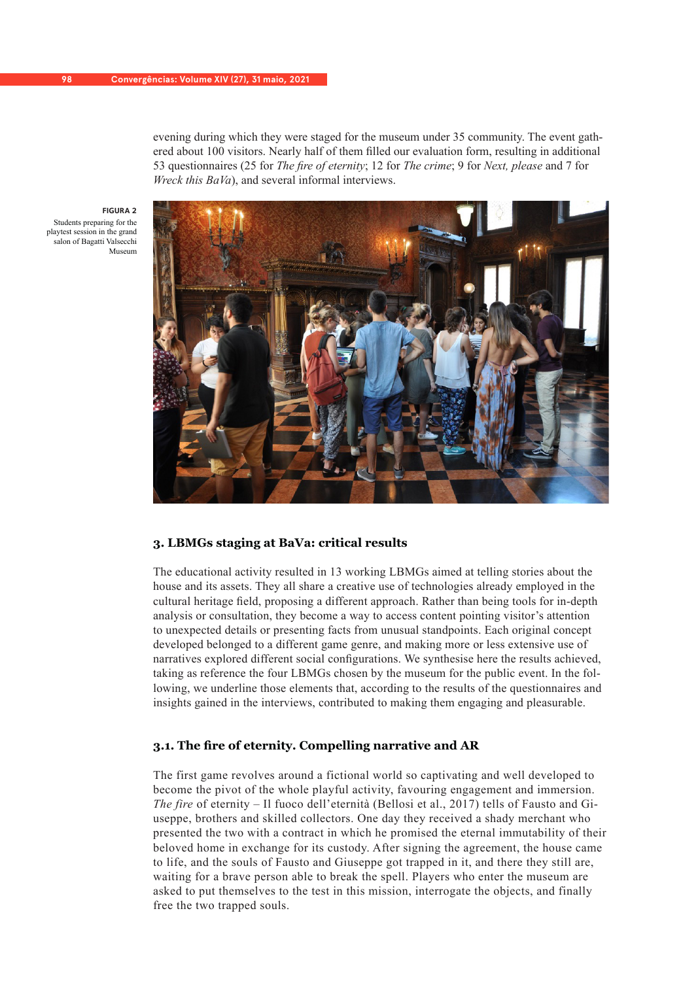evening during which they were staged for the museum under 35 community. The event gathered about 100 visitors. Nearly half of them filled our evaluation form, resulting in additional 53 questionnaires (25 for *The fire of eternity*; 12 for *The crime*; 9 for *Next, please* and 7 for *Wreck this BaVa*), and several informal interviews.

**FIGURA 2** Students preparing for the playtest session in the grand salon of Bagatti Valsecchi Museum



## **3. LBMGs staging at BaVa: critical results**

The educational activity resulted in 13 working LBMGs aimed at telling stories about the house and its assets. They all share a creative use of technologies already employed in the cultural heritage field, proposing a different approach. Rather than being tools for in-depth analysis or consultation, they become a way to access content pointing visitor's attention to unexpected details or presenting facts from unusual standpoints. Each original concept developed belonged to a different game genre, and making more or less extensive use of narratives explored different social configurations. We synthesise here the results achieved, taking as reference the four LBMGs chosen by the museum for the public event. In the following, we underline those elements that, according to the results of the questionnaires and insights gained in the interviews, contributed to making them engaging and pleasurable.

## **3.1. The fire of eternity. Compelling narrative and AR**

The first game revolves around a fictional world so captivating and well developed to become the pivot of the whole playful activity, favouring engagement and immersion. *The fire* of eternity – Il fuoco dell'eternità (Bellosi et al., 2017) tells of Fausto and Giuseppe, brothers and skilled collectors. One day they received a shady merchant who presented the two with a contract in which he promised the eternal immutability of their beloved home in exchange for its custody. After signing the agreement, the house came to life, and the souls of Fausto and Giuseppe got trapped in it, and there they still are, waiting for a brave person able to break the spell. Players who enter the museum are asked to put themselves to the test in this mission, interrogate the objects, and finally free the two trapped souls.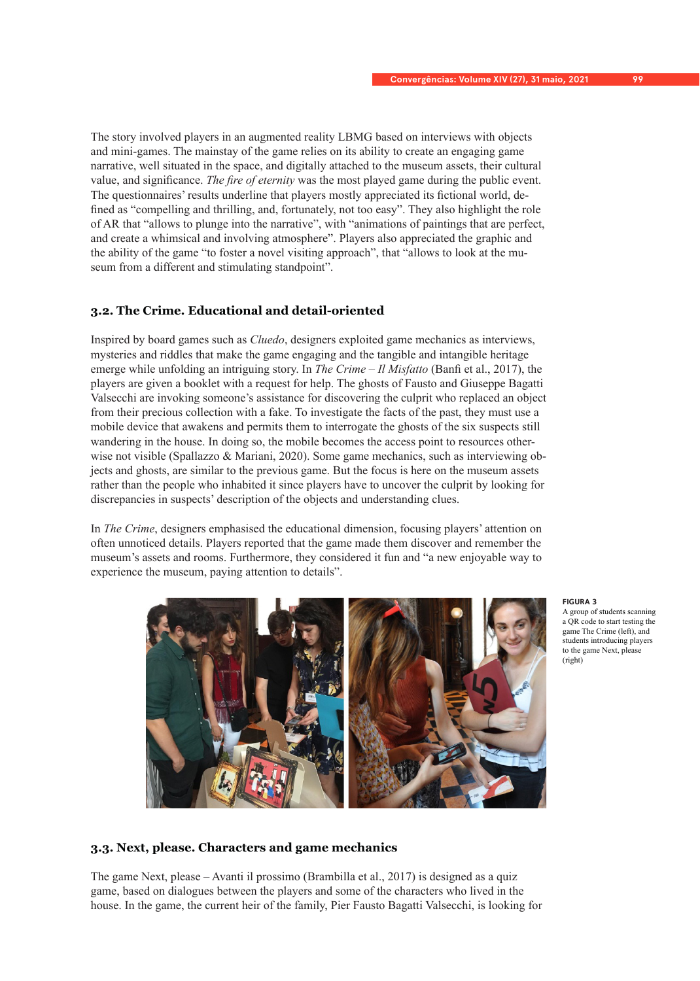The story involved players in an augmented reality LBMG based on interviews with objects and mini-games. The mainstay of the game relies on its ability to create an engaging game narrative, well situated in the space, and digitally attached to the museum assets, their cultural value, and significance. *The fire of eternity* was the most played game during the public event. The questionnaires' results underline that players mostly appreciated its fictional world, defined as "compelling and thrilling, and, fortunately, not too easy". They also highlight the role of AR that "allows to plunge into the narrative", with "animations of paintings that are perfect, and create a whimsical and involving atmosphere". Players also appreciated the graphic and the ability of the game "to foster a novel visiting approach", that "allows to look at the museum from a different and stimulating standpoint".

# **3.2. The Crime. Educational and detail-oriented**

Inspired by board games such as *Cluedo*, designers exploited game mechanics as interviews, mysteries and riddles that make the game engaging and the tangible and intangible heritage emerge while unfolding an intriguing story. In *The Crime* – *Il Misfatto* (Banfi et al., 2017), the players are given a booklet with a request for help. The ghosts of Fausto and Giuseppe Bagatti Valsecchi are invoking someone's assistance for discovering the culprit who replaced an object from their precious collection with a fake. To investigate the facts of the past, they must use a mobile device that awakens and permits them to interrogate the ghosts of the six suspects still wandering in the house. In doing so, the mobile becomes the access point to resources otherwise not visible (Spallazzo  $\&$  Mariani, 2020). Some game mechanics, such as interviewing objects and ghosts, are similar to the previous game. But the focus is here on the museum assets rather than the people who inhabited it since players have to uncover the culprit by looking for discrepancies in suspects' description of the objects and understanding clues.

In *The Crime*, designers emphasised the educational dimension, focusing players' attention on often unnoticed details. Players reported that the game made them discover and remember the museum's assets and rooms. Furthermore, they considered it fun and "a new enjoyable way to experience the museum, paying attention to details".



#### **FIGURA 3**

A group of students scanning a QR code to start testing the game The Crime (left), and students introducing players to the game Next, please (right)

## **3.3. Next, please. Characters and game mechanics**

The game Next, please – Avanti il prossimo (Brambilla et al., 2017) is designed as a quiz game, based on dialogues between the players and some of the characters who lived in the house. In the game, the current heir of the family, Pier Fausto Bagatti Valsecchi, is looking for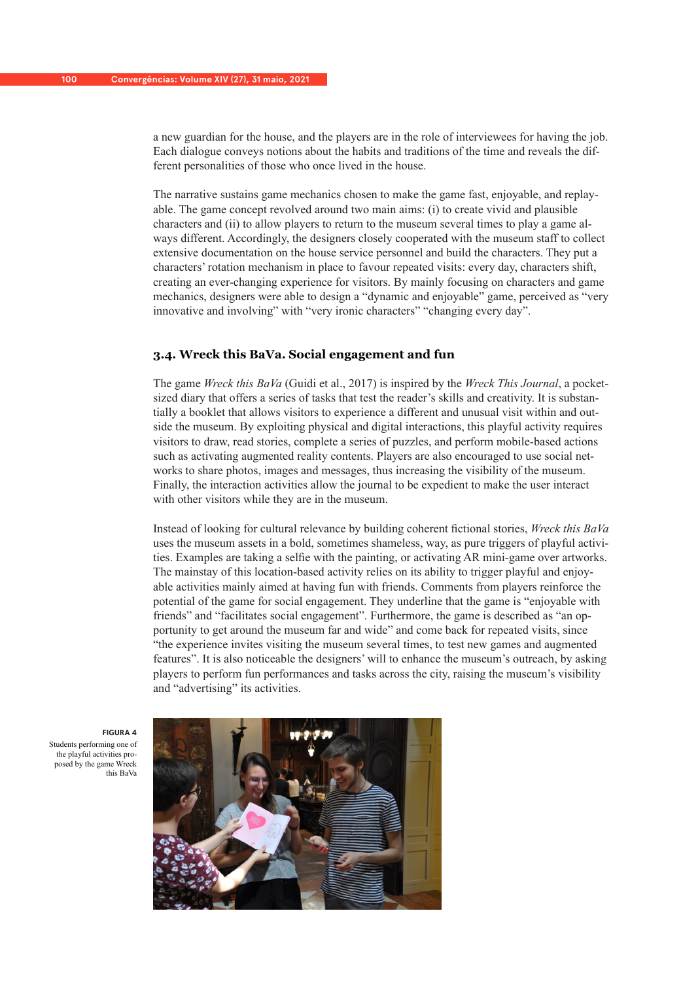a new guardian for the house, and the players are in the role of interviewees for having the job. Each dialogue conveys notions about the habits and traditions of the time and reveals the different personalities of those who once lived in the house.

The narrative sustains game mechanics chosen to make the game fast, enjoyable, and replayable. The game concept revolved around two main aims: (i) to create vivid and plausible characters and (ii) to allow players to return to the museum several times to play a game always different. Accordingly, the designers closely cooperated with the museum staff to collect extensive documentation on the house service personnel and build the characters. They put a characters' rotation mechanism in place to favour repeated visits: every day, characters shift, creating an ever-changing experience for visitors. By mainly focusing on characters and game mechanics, designers were able to design a "dynamic and enjoyable" game, perceived as "very innovative and involving" with "very ironic characters" "changing every day".

## **3.4. Wreck this BaVa. Social engagement and fun**

The game *Wreck this BaVa* (Guidi et al., 2017) is inspired by the *Wreck This Journal*, a pocketsized diary that offers a series of tasks that test the reader's skills and creativity. It is substantially a booklet that allows visitors to experience a different and unusual visit within and outside the museum. By exploiting physical and digital interactions, this playful activity requires visitors to draw, read stories, complete a series of puzzles, and perform mobile-based actions such as activating augmented reality contents. Players are also encouraged to use social networks to share photos, images and messages, thus increasing the visibility of the museum. Finally, the interaction activities allow the journal to be expedient to make the user interact with other visitors while they are in the museum.

Instead of looking for cultural relevance by building coherent fictional stories, *Wreck this BaVa*  uses the museum assets in a bold, sometimes shameless, way, as pure triggers of playful activities. Examples are taking a selfie with the painting, or activating AR mini-game over artworks. The mainstay of this location-based activity relies on its ability to trigger playful and enjoyable activities mainly aimed at having fun with friends. Comments from players reinforce the potential of the game for social engagement. They underline that the game is "enjoyable with friends" and "facilitates social engagement". Furthermore, the game is described as "an opportunity to get around the museum far and wide" and come back for repeated visits, since "the experience invites visiting the museum several times, to test new games and augmented features". It is also noticeable the designers' will to enhance the museum's outreach, by asking players to perform fun performances and tasks across the city, raising the museum's visibility and "advertising" its activities.

**FIGURA 4** Students performing one of the playful activities proposed by the game Wreck this BaVa

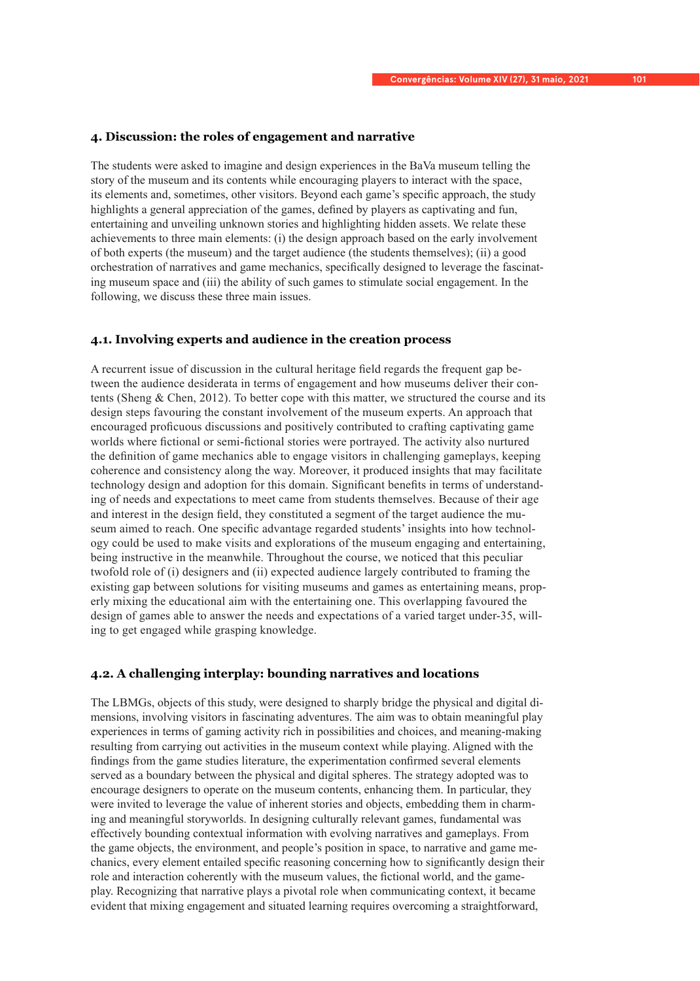## **4. Discussion: the roles of engagement and narrative**

The students were asked to imagine and design experiences in the BaVa museum telling the story of the museum and its contents while encouraging players to interact with the space, its elements and, sometimes, other visitors. Beyond each game's specific approach, the study highlights a general appreciation of the games, defined by players as captivating and fun, entertaining and unveiling unknown stories and highlighting hidden assets. We relate these achievements to three main elements: (i) the design approach based on the early involvement of both experts (the museum) and the target audience (the students themselves); (ii) a good orchestration of narratives and game mechanics, specifically designed to leverage the fascinating museum space and (iii) the ability of such games to stimulate social engagement. In the following, we discuss these three main issues.

## **4.1. Involving experts and audience in the creation process**

A recurrent issue of discussion in the cultural heritage field regards the frequent gap between the audience desiderata in terms of engagement and how museums deliver their contents (Sheng & Chen, 2012). To better cope with this matter, we structured the course and its design steps favouring the constant involvement of the museum experts. An approach that encouraged proficuous discussions and positively contributed to crafting captivating game worlds where fictional or semi-fictional stories were portrayed. The activity also nurtured the definition of game mechanics able to engage visitors in challenging gameplays, keeping coherence and consistency along the way. Moreover, it produced insights that may facilitate technology design and adoption for this domain. Significant benefits in terms of understanding of needs and expectations to meet came from students themselves. Because of their age and interest in the design field, they constituted a segment of the target audience the museum aimed to reach. One specific advantage regarded students' insights into how technology could be used to make visits and explorations of the museum engaging and entertaining, being instructive in the meanwhile. Throughout the course, we noticed that this peculiar twofold role of (i) designers and (ii) expected audience largely contributed to framing the existing gap between solutions for visiting museums and games as entertaining means, properly mixing the educational aim with the entertaining one. This overlapping favoured the design of games able to answer the needs and expectations of a varied target under-35, willing to get engaged while grasping knowledge.

## **4.2. A challenging interplay: bounding narratives and locations**

The LBMGs, objects of this study, were designed to sharply bridge the physical and digital dimensions, involving visitors in fascinating adventures. The aim was to obtain meaningful play experiences in terms of gaming activity rich in possibilities and choices, and meaning-making resulting from carrying out activities in the museum context while playing. Aligned with the findings from the game studies literature, the experimentation confirmed several elements served as a boundary between the physical and digital spheres. The strategy adopted was to encourage designers to operate on the museum contents, enhancing them. In particular, they were invited to leverage the value of inherent stories and objects, embedding them in charming and meaningful storyworlds. In designing culturally relevant games, fundamental was effectively bounding contextual information with evolving narratives and gameplays. From the game objects, the environment, and people's position in space, to narrative and game mechanics, every element entailed specific reasoning concerning how to significantly design their role and interaction coherently with the museum values, the fictional world, and the gameplay. Recognizing that narrative plays a pivotal role when communicating context, it became evident that mixing engagement and situated learning requires overcoming a straightforward,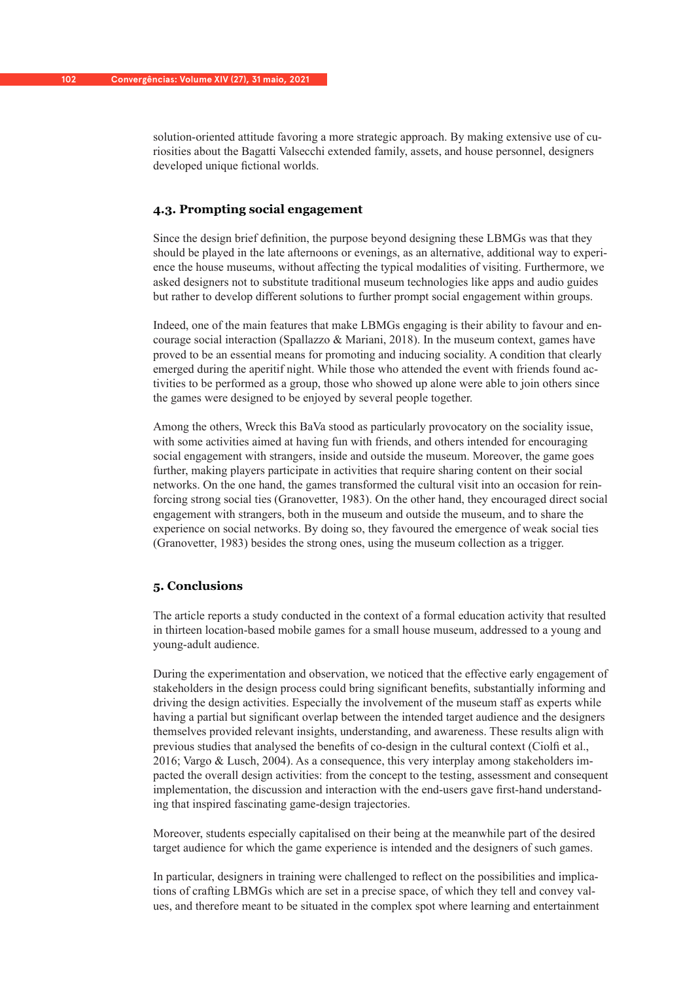solution-oriented attitude favoring a more strategic approach. By making extensive use of curiosities about the Bagatti Valsecchi extended family, assets, and house personnel, designers developed unique fictional worlds.

# **4.3. Prompting social engagement**

Since the design brief definition, the purpose beyond designing these LBMGs was that they should be played in the late afternoons or evenings, as an alternative, additional way to experience the house museums, without affecting the typical modalities of visiting. Furthermore, we asked designers not to substitute traditional museum technologies like apps and audio guides but rather to develop different solutions to further prompt social engagement within groups.

Indeed, one of the main features that make LBMGs engaging is their ability to favour and encourage social interaction (Spallazzo  $\&$  Mariani, 2018). In the museum context, games have proved to be an essential means for promoting and inducing sociality. A condition that clearly emerged during the aperitif night. While those who attended the event with friends found activities to be performed as a group, those who showed up alone were able to join others since the games were designed to be enjoyed by several people together.

Among the others, Wreck this BaVa stood as particularly provocatory on the sociality issue, with some activities aimed at having fun with friends, and others intended for encouraging social engagement with strangers, inside and outside the museum. Moreover, the game goes further, making players participate in activities that require sharing content on their social networks. On the one hand, the games transformed the cultural visit into an occasion for reinforcing strong social ties (Granovetter, 1983). On the other hand, they encouraged direct social engagement with strangers, both in the museum and outside the museum, and to share the experience on social networks. By doing so, they favoured the emergence of weak social ties (Granovetter, 1983) besides the strong ones, using the museum collection as a trigger.

## **5. Conclusions**

The article reports a study conducted in the context of a formal education activity that resulted in thirteen location-based mobile games for a small house museum, addressed to a young and young-adult audience.

During the experimentation and observation, we noticed that the effective early engagement of stakeholders in the design process could bring significant benefits, substantially informing and driving the design activities. Especially the involvement of the museum staff as experts while having a partial but significant overlap between the intended target audience and the designers themselves provided relevant insights, understanding, and awareness. These results align with previous studies that analysed the benefits of co-design in the cultural context (Ciolfi et al., 2016; Vargo & Lusch, 2004). As a consequence, this very interplay among stakeholders impacted the overall design activities: from the concept to the testing, assessment and consequent implementation, the discussion and interaction with the end-users gave first-hand understanding that inspired fascinating game-design trajectories.

Moreover, students especially capitalised on their being at the meanwhile part of the desired target audience for which the game experience is intended and the designers of such games.

In particular, designers in training were challenged to reflect on the possibilities and implications of crafting LBMGs which are set in a precise space, of which they tell and convey values, and therefore meant to be situated in the complex spot where learning and entertainment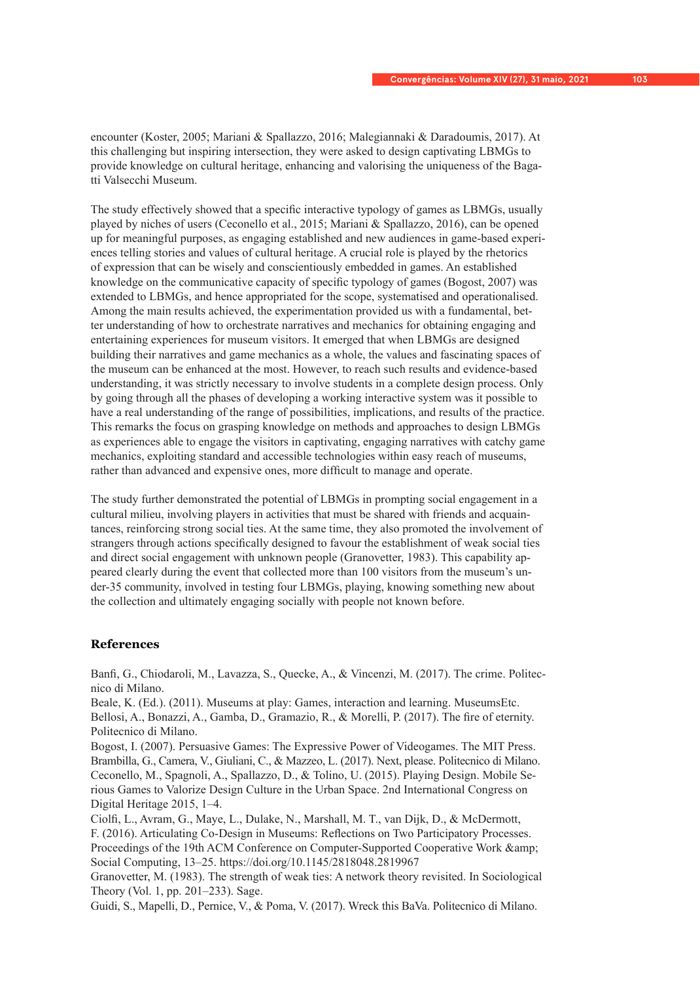encounter (Koster, 2005; Mariani & Spallazzo, 2016; Malegiannaki & Daradoumis, 2017). At this challenging but inspiring intersection, they were asked to design captivating LBMGs to provide knowledge on cultural heritage, enhancing and valorising the uniqueness of the Bagatti Valsecchi Museum.

The study effectively showed that a specific interactive typology of games as LBMGs, usually played by niches of users (Ceconello et al., 2015; Mariani & Spallazzo, 2016), can be opened up for meaningful purposes, as engaging established and new audiences in game-based experiences telling stories and values of cultural heritage. A crucial role is played by the rhetorics of expression that can be wisely and conscientiously embedded in games. An established knowledge on the communicative capacity of specific typology of games (Bogost, 2007) was extended to LBMGs, and hence appropriated for the scope, systematised and operationalised. Among the main results achieved, the experimentation provided us with a fundamental, better understanding of how to orchestrate narratives and mechanics for obtaining engaging and entertaining experiences for museum visitors. It emerged that when LBMGs are designed building their narratives and game mechanics as a whole, the values and fascinating spaces of the museum can be enhanced at the most. However, to reach such results and evidence-based understanding, it was strictly necessary to involve students in a complete design process. Only by going through all the phases of developing a working interactive system was it possible to have a real understanding of the range of possibilities, implications, and results of the practice. This remarks the focus on grasping knowledge on methods and approaches to design LBMGs as experiences able to engage the visitors in captivating, engaging narratives with catchy game mechanics, exploiting standard and accessible technologies within easy reach of museums, rather than advanced and expensive ones, more difficult to manage and operate.

The study further demonstrated the potential of LBMGs in prompting social engagement in a cultural milieu, involving players in activities that must be shared with friends and acquaintances, reinforcing strong social ties. At the same time, they also promoted the involvement of strangers through actions specifically designed to favour the establishment of weak social ties and direct social engagement with unknown people (Granovetter, 1983). This capability appeared clearly during the event that collected more than 100 visitors from the museum's under-35 community, involved in testing four LBMGs, playing, knowing something new about the collection and ultimately engaging socially with people not known before.

## **References**

Banfi, G., Chiodaroli, M., Lavazza, S., Quecke, A., & Vincenzi, M. (2017). The crime. Politecnico di Milano.

Beale, K. (Ed.). (2011). Museums at play: Games, interaction and learning. MuseumsEtc. Bellosi, A., Bonazzi, A., Gamba, D., Gramazio, R., & Morelli, P. (2017). The fire of eternity. Politecnico di Milano.

Bogost, I. (2007). Persuasive Games: The Expressive Power of Videogames. The MIT Press. Brambilla, G., Camera, V., Giuliani, C., & Mazzeo, L. (2017). Next, please. Politecnico di Milano. Ceconello, M., Spagnoli, A., Spallazzo, D., & Tolino, U. (2015). Playing Design. Mobile Serious Games to Valorize Design Culture in the Urban Space. 2nd International Congress on Digital Heritage 2015, 1–4.

Ciolfi, L., Avram, G., Maye, L., Dulake, N., Marshall, M. T., van Dijk, D., & McDermott,

F. (2016). Articulating Co-Design in Museums: Reflections on Two Participatory Processes. Proceedings of the 19th ACM Conference on Computer-Supported Cooperative Work & amp; Social Computing, 13–25. https://doi.org/10.1145/2818048.2819967

Granovetter, M. (1983). The strength of weak ties: A network theory revisited. In Sociological Theory (Vol. 1, pp. 201–233). Sage.

Guidi, S., Mapelli, D., Pernice, V., & Poma, V. (2017). Wreck this BaVa. Politecnico di Milano.